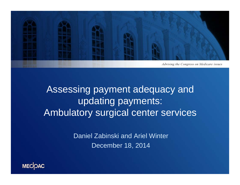

Assessing payment adequacy and updating payments: Ambulatory surgical center services

> Daniel Zabinski and Ariel WinterDecember 18, 2014

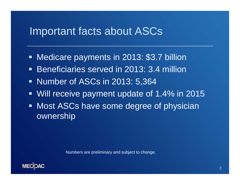### Important facts about ASCs

- Ξ Medicare payments in 2013: \$3.7 billion
- **Beneficiaries served in 2013: 3.4 million**
- **Number of ASCs in 2013: 5,364**
- Ξ Will receive payment update of 1.4% in 2015
- **Most ASCs have some degree of physician** ownership

Numbers are preliminary and subject to change.

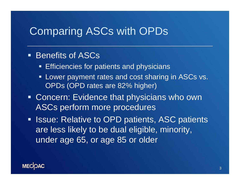## Comparing ASCs with OPDs

#### **Benefits of ASCs**

- $\blacksquare$ Efficiencies for patients and physicians
- $\blacksquare$  Lower payment rates and cost sharing in ASCs vs. OPDs (OPD rates are 82% higher)
- **Concern: Evidence that physicians who own** ASCs perform more procedures
- **In Issue: Relative to OPD patients, ASC patients** are less likely to be dual eligible, minority, under age 65, or age 85 or older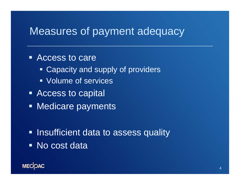## Measures of payment adequacy

Access to care

- **Example 2 Capacity and supply of providers**
- Volume of services
- **Access to capital**
- **Medicare payments**

**- Insufficient data to assess quality** ■ No cost data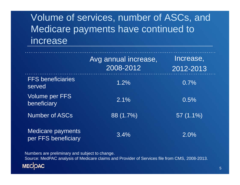## Volume of services, number of ASCs, and Medicare payments have continued to increase

|                                                 | Avg annual increase,<br>2008-2012 | Increase,<br>2012-2013 |
|-------------------------------------------------|-----------------------------------|------------------------|
| <b>FFS beneficiaries</b><br>served              | 1.2%                              | 0.7%                   |
| <b>Volume per FFS</b><br>beneficiary            | $2.1\%$                           | 0.5%                   |
| <b>Number of ASCs</b>                           | 88 (1.7%)                         | $57(1.1\%)$            |
| <b>Medicare payments</b><br>per FFS beneficiary | 3.4%                              | 2.0%                   |

Numbers are preliminary and subject to change. Source: MedPAC analysis of Medicare claims and Provider of Services file from CMS, 2008-2013.**MECOAC**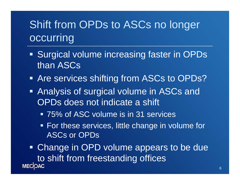# Shift from OPDs to ASCs no longer occurring

- **Surgical volume increasing faster in OPDs** than ASCs
- **Are services shifting from ASCs to OPDs?**
- **Analysis of surgical volume in ASCs and** OPDs does not indicate a shift
	- 75% of ASC volume is in 31 services
	- **For these services, little change in volume for** ASCs or OPDs

**• Change in OPD volume appears to be due** to shift from freestanding offices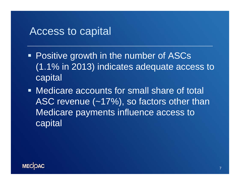#### Access to capital

- **Positive growth in the number of ASCs** (1.1% in 2013) indicates adequate access to **capital**
- **Medicare accounts for small share of total** ASC revenue (~17%), so factors other than Medicare payments influence access to **capital**

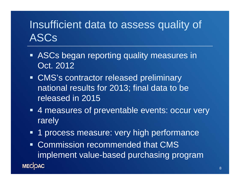# Insufficient data to assess quality of ASCs

- **ASCs began reporting quality measures in** Oct. 2012
- **CMS's contractor released preliminary** national results for 2013; final data to be released in 2015
- 4 measures of preventable events: occur very rarely
- 1 process measure: very high performance
- Commission recommended that CMS  $\begin{array}{c} \rule{0pt}{2.5mm} \rule{0pt}{2.5mm} \rule{0pt}{2.5mm} \rule{0pt}{2.5mm} \rule{0pt}{2.5mm} \rule{0pt}{2.5mm} \rule{0pt}{2.5mm} \rule{0pt}{2.5mm} \rule{0pt}{2.5mm} \rule{0pt}{2.5mm} \rule{0pt}{2.5mm} \rule{0pt}{2.5mm} \rule{0pt}{2.5mm} \rule{0pt}{2.5mm} \rule{0pt}{2.5mm} \rule{0pt}{2.5mm} \rule{0pt}{2.5mm} \rule{0pt}{2.5mm} \rule{0pt}{2.5mm} \rule{0$ implement value-based purchasing program **MECOAC**